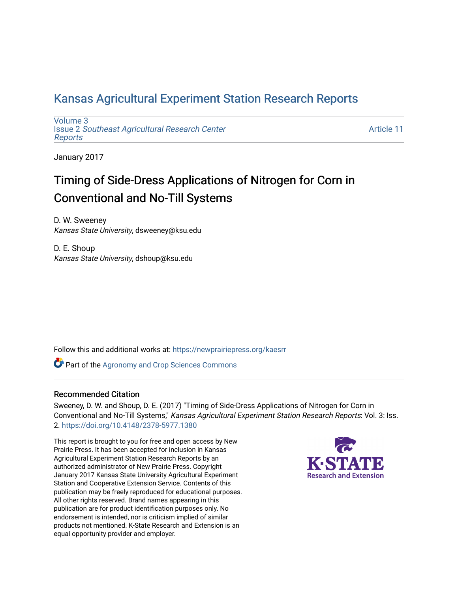## [Kansas Agricultural Experiment Station Research Reports](https://newprairiepress.org/kaesrr)

[Volume 3](https://newprairiepress.org/kaesrr/vol3) Issue 2 [Southeast Agricultural Research Center](https://newprairiepress.org/kaesrr/vol3/iss2) [Reports](https://newprairiepress.org/kaesrr/vol3/iss2)

[Article 11](https://newprairiepress.org/kaesrr/vol3/iss2/11) 

January 2017

## Timing of Side-Dress Applications of Nitrogen for Corn in Conventional and No-Till Systems

D. W. Sweeney Kansas State University, dsweeney@ksu.edu

D. E. Shoup Kansas State University, dshoup@ksu.edu

Follow this and additional works at: [https://newprairiepress.org/kaesrr](https://newprairiepress.org/kaesrr?utm_source=newprairiepress.org%2Fkaesrr%2Fvol3%2Fiss2%2F11&utm_medium=PDF&utm_campaign=PDFCoverPages) 

**Part of the Agronomy and Crop Sciences Commons** 

### Recommended Citation

Sweeney, D. W. and Shoup, D. E. (2017) "Timing of Side-Dress Applications of Nitrogen for Corn in Conventional and No-Till Systems," Kansas Agricultural Experiment Station Research Reports: Vol. 3: Iss. 2. <https://doi.org/10.4148/2378-5977.1380>

This report is brought to you for free and open access by New Prairie Press. It has been accepted for inclusion in Kansas Agricultural Experiment Station Research Reports by an authorized administrator of New Prairie Press. Copyright January 2017 Kansas State University Agricultural Experiment Station and Cooperative Extension Service. Contents of this publication may be freely reproduced for educational purposes. All other rights reserved. Brand names appearing in this publication are for product identification purposes only. No endorsement is intended, nor is criticism implied of similar products not mentioned. K-State Research and Extension is an equal opportunity provider and employer.

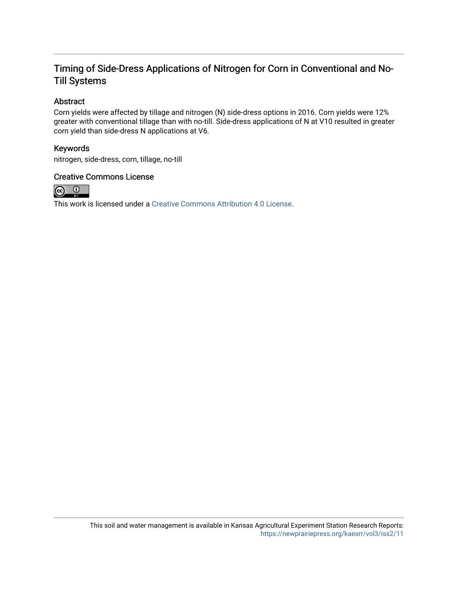### Timing of Side-Dress Applications of Nitrogen for Corn in Conventional and No-Till Systems

### Abstract

Corn yields were affected by tillage and nitrogen (N) side-dress options in 2016. Corn yields were 12% greater with conventional tillage than with no-till. Side-dress applications of N at V10 resulted in greater corn yield than side-dress N applications at V6.

### Keywords

nitrogen, side-dress, corn, tillage, no-till

### Creative Commons License



This work is licensed under a [Creative Commons Attribution 4.0 License](https://creativecommons.org/licenses/by/4.0/).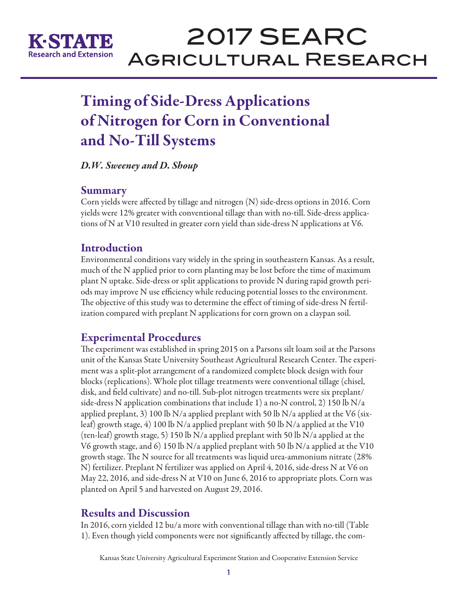

# 2017 SEARC Agricultural Research

# Timing of Side-Dress Applications of Nitrogen for Corn in Conventional and No-Till Systems

*D.W. Sweeney and D. Shoup*

### Summary

Corn yields were affected by tillage and nitrogen (N) side-dress options in 2016. Corn yields were 12% greater with conventional tillage than with no-till. Side-dress applications of N at V10 resulted in greater corn yield than side-dress N applications at V6.

## **Introduction**

Environmental conditions vary widely in the spring in southeastern Kansas. As a result, much of the N applied prior to corn planting may be lost before the time of maximum plant N uptake. Side-dress or split applications to provide N during rapid growth periods may improve N use efficiency while reducing potential losses to the environment. The objective of this study was to determine the effect of timing of side-dress N fertilization compared with preplant N applications for corn grown on a claypan soil.

## Experimental Procedures

The experiment was established in spring 2015 on a Parsons silt loam soil at the Parsons unit of the Kansas State University Southeast Agricultural Research Center. The experiment was a split-plot arrangement of a randomized complete block design with four blocks (replications). Whole plot tillage treatments were conventional tillage (chisel, disk, and field cultivate) and no-till. Sub-plot nitrogen treatments were six preplant/ side-dress N application combinations that include 1) a no-N control, 2) 150 lb N/a applied preplant, 3) 100 lb N/a applied preplant with 50 lb N/a applied at the V6 (sixleaf) growth stage, 4) 100 lb N/a applied preplant with 50 lb N/a applied at the V10 (ten-leaf) growth stage, 5) 150 lb N/a applied preplant with 50 lb N/a applied at the V6 growth stage, and 6) 150 lb N/a applied preplant with 50 lb N/a applied at the V10 growth stage. The N source for all treatments was liquid urea-ammonium nitrate (28% N) fertilizer. Preplant N fertilizer was applied on April 4, 2016, side-dress N at V6 on May 22, 2016, and side-dress N at V10 on June 6, 2016 to appropriate plots. Corn was planted on April 5 and harvested on August 29, 2016.

## Results and Discussion

In 2016, corn yielded 12 bu/a more with conventional tillage than with no-till (Table 1). Even though yield components were not significantly affected by tillage, the com-